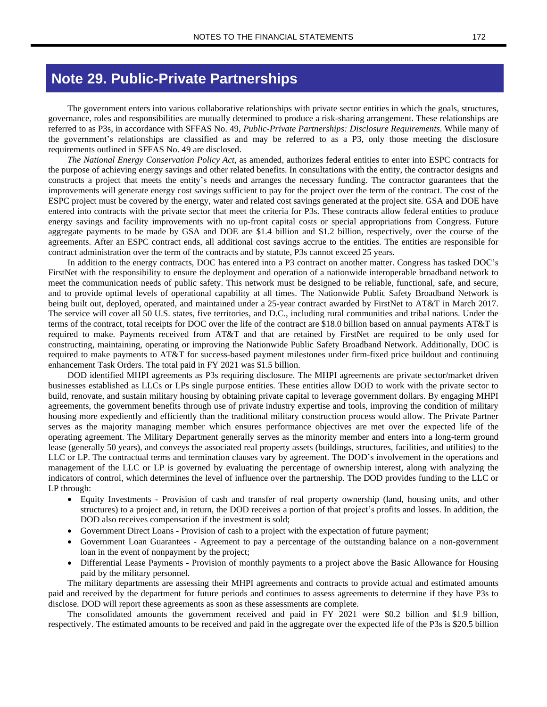## **Note 29. Public-Private Partnerships**

The government enters into various collaborative relationships with private sector entities in which the goals, structures, governance, roles and responsibilities are mutually determined to produce a risk-sharing arrangement. These relationships are referred to as P3s, in accordance with SFFAS No. 49, *Public-Private Partnerships: Disclosure Requirements*. While many of the government's relationships are classified as and may be referred to as a P3, only those meeting the disclosure requirements outlined in SFFAS No. 49 are disclosed.

*The National Energy Conservation Policy Act*, as amended, authorizes federal entities to enter into ESPC contracts for the purpose of achieving energy savings and other related benefits. In consultations with the entity, the contractor designs and constructs a project that meets the entity's needs and arranges the necessary funding. The contractor guarantees that the improvements will generate energy cost savings sufficient to pay for the project over the term of the contract. The cost of the ESPC project must be covered by the energy, water and related cost savings generated at the project site. GSA and DOE have entered into contracts with the private sector that meet the criteria for P3s. These contracts allow federal entities to produce energy savings and facility improvements with no up-front capital costs or special appropriations from Congress. Future aggregate payments to be made by GSA and DOE are \$1.4 billion and \$1.2 billion, respectively, over the course of the agreements. After an ESPC contract ends, all additional cost savings accrue to the entities. The entities are responsible for contract administration over the term of the contracts and by statute, P3s cannot exceed 25 years.

In addition to the energy contracts, DOC has entered into a P3 contract on another matter. Congress has tasked DOC's FirstNet with the responsibility to ensure the deployment and operation of a nationwide interoperable broadband network to meet the communication needs of public safety. This network must be designed to be reliable, functional, safe, and secure, and to provide optimal levels of operational capability at all times. The Nationwide Public Safety Broadband Network is being built out, deployed, operated, and maintained under a 25-year contract awarded by FirstNet to AT&T in March 2017. The service will cover all 50 U.S. states, five territories, and D.C., including rural communities and tribal nations. Under the terms of the contract, total receipts for DOC over the life of the contract are \$18.0 billion based on annual payments AT&T is required to make. Payments received from AT&T and that are retained by FirstNet are required to be only used for constructing, maintaining, operating or improving the Nationwide Public Safety Broadband Network. Additionally, DOC is required to make payments to AT&T for success-based payment milestones under firm-fixed price buildout and continuing enhancement Task Orders. The total paid in FY 2021 was \$1.5 billion.

DOD identified MHPI agreements as P3s requiring disclosure. The MHPI agreements are private sector/market driven businesses established as LLCs or LPs single purpose entities. These entities allow DOD to work with the private sector to build, renovate, and sustain military housing by obtaining private capital to leverage government dollars. By engaging MHPI agreements, the government benefits through use of private industry expertise and tools, improving the condition of military housing more expediently and efficiently than the traditional military construction process would allow. The Private Partner serves as the majority managing member which ensures performance objectives are met over the expected life of the operating agreement. The Military Department generally serves as the minority member and enters into a long-term ground lease (generally 50 years), and conveys the associated real property assets (buildings, structures, facilities, and utilities) to the LLC or LP. The contractual terms and termination clauses vary by agreement. The DOD's involvement in the operations and management of the LLC or LP is governed by evaluating the percentage of ownership interest, along with analyzing the indicators of control, which determines the level of influence over the partnership. The DOD provides funding to the LLC or LP through:

- Equity Investments Provision of cash and transfer of real property ownership (land, housing units, and other structures) to a project and, in return, the DOD receives a portion of that project's profits and losses. In addition, the DOD also receives compensation if the investment is sold;
- Government Direct Loans Provision of cash to a project with the expectation of future payment;
- Government Loan Guarantees Agreement to pay a percentage of the outstanding balance on a non-government loan in the event of nonpayment by the project;
- Differential Lease Payments Provision of monthly payments to a project above the Basic Allowance for Housing paid by the military personnel.

The military departments are assessing their MHPI agreements and contracts to provide actual and estimated amounts paid and received by the department for future periods and continues to assess agreements to determine if they have P3s to disclose. DOD will report these agreements as soon as these assessments are complete.

The consolidated amounts the government received and paid in FY 2021 were \$0.2 billion and \$1.9 billion, respectively. The estimated amounts to be received and paid in the aggregate over the expected life of the P3s is \$20.5 billion